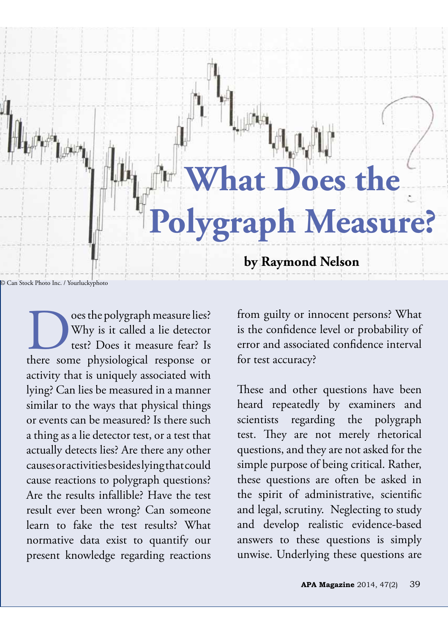

Outer test? Does it measure lies?<br>
there some physiological response or<br>
there some physiological response or Why is it called a lie detector test? Does it measure fear? Is activity that is uniquely associated with lying? Can lies be measured in a manner similar to the ways that physical things or events can be measured? Is there such a thing as a lie detector test, or a test that actually detects lies? Are there any other causes or activities besides lying that could cause reactions to polygraph questions? Are the results infallible? Have the test result ever been wrong? Can someone learn to fake the test results? What normative data exist to quantify our present knowledge regarding reactions

from guilty or innocent persons? What is the confdence level or probability of error and associated confdence interval for test accuracy?

These and other questions have been heard repeatedly by examiners and scientists regarding the polygraph test. They are not merely rhetorical questions, and they are not asked for the simple purpose of being critical. Rather, these questions are often be asked in the spirit of administrative, scientifc and legal, scrutiny. Neglecting to study and develop realistic evidence-based answers to these questions is simply unwise. Underlying these questions are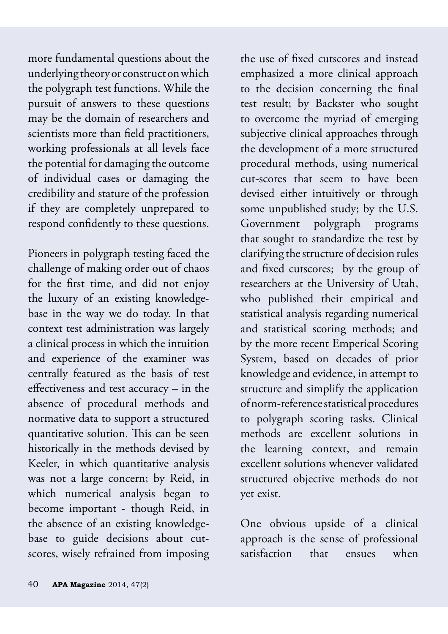more fundamental questions about the underlying theory or construct on which the polygraph test functions. While the pursuit of answers to these questions may be the domain of researchers and scientists more than feld practitioners, working professionals at all levels face the potential for damaging the outcome of individual cases or damaging the credibility and stature of the profession if they are completely unprepared to respond confdently to these questions.

Pioneers in polygraph testing faced the challenge of making order out of chaos for the frst time, and did not enjoy the luxury of an existing knowledgebase in the way we do today. In that context test administration was largely a clinical process in which the intuition and experience of the examiner was centrally featured as the basis of test efectiveness and test accuracy – in the absence of procedural methods and normative data to support a structured quantitative solution. This can be seen historically in the methods devised by Keeler, in which quantitative analysis was not a large concern; by Reid, in which numerical analysis began to become important - though Reid, in the absence of an existing knowledgebase to guide decisions about cutscores, wisely refrained from imposing

the use of fxed cutscores and instead emphasized a more clinical approach to the decision concerning the fnal test result; by Backster who sought to overcome the myriad of emerging subjective clinical approaches through the development of a more structured procedural methods, using numerical cut-scores that seem to have been devised either intuitively or through some unpublished study; by the U.S. Government polygraph programs that sought to standardize the test by clarifying the structure of decision rules and fxed cutscores; by the group of researchers at the University of Utah, who published their empirical and statistical analysis regarding numerical and statistical scoring methods; and by the more recent Emperical Scoring System, based on decades of prior knowledge and evidence, in attempt to structure and simplify the application of norm-reference statistical procedures to polygraph scoring tasks. Clinical methods are excellent solutions in the learning context, and remain excellent solutions whenever validated structured objective methods do not yet exist.

One obvious upside of a clinical approach is the sense of professional satisfaction that ensues when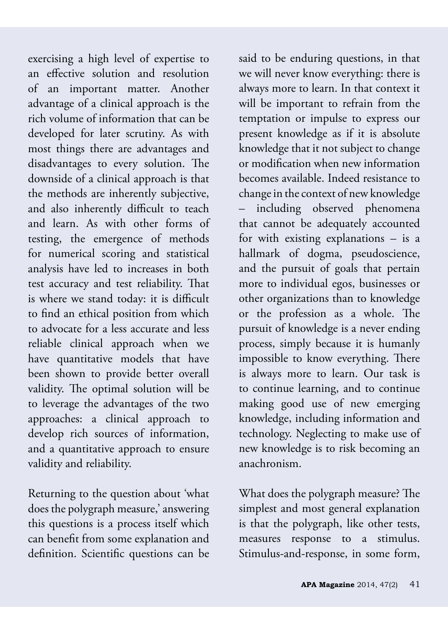exercising a high level of expertise to an efective solution and resolution of an important matter. Another advantage of a clinical approach is the rich volume of information that can be developed for later scrutiny. As with most things there are advantages and disadvantages to every solution. The downside of a clinical approach is that the methods are inherently subjective, and also inherently difficult to teach and learn. As with other forms of testing, the emergence of methods for numerical scoring and statistical analysis have led to increases in both test accuracy and test reliability. That is where we stand today: it is difficult to fnd an ethical position from which to advocate for a less accurate and less reliable clinical approach when we have quantitative models that have been shown to provide better overall validity. The optimal solution will be to leverage the advantages of the two approaches: a clinical approach to develop rich sources of information, and a quantitative approach to ensure validity and reliability.

Returning to the question about 'what does the polygraph measure,' answering this questions is a process itself which can beneft from some explanation and defnition. Scientifc questions can be

said to be enduring questions, in that we will never know everything: there is always more to learn. In that context it will be important to refrain from the temptation or impulse to express our present knowledge as if it is absolute knowledge that it not subject to change or modifcation when new information becomes available. Indeed resistance to change in the context of new knowledge – including observed phenomena that cannot be adequately accounted for with existing explanations – is a hallmark of dogma, pseudoscience, and the pursuit of goals that pertain more to individual egos, businesses or other organizations than to knowledge or the profession as a whole. The pursuit of knowledge is a never ending process, simply because it is humanly impossible to know everything. There is always more to learn. Our task is to continue learning, and to continue making good use of new emerging knowledge, including information and technology. Neglecting to make use of new knowledge is to risk becoming an anachronism.

What does the polygraph measure? The simplest and most general explanation is that the polygraph, like other tests, measures response to a stimulus. Stimulus-and-response, in some form,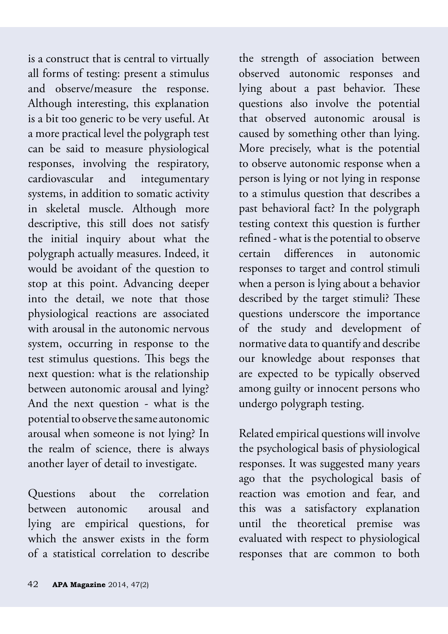is a construct that is central to virtually all forms of testing: present a stimulus and observe/measure the response. Although interesting, this explanation is a bit too generic to be very useful. At a more practical level the polygraph test can be said to measure physiological responses, involving the respiratory, cardiovascular and integumentary systems, in addition to somatic activity in skeletal muscle. Although more descriptive, this still does not satisfy the initial inquiry about what the polygraph actually measures. Indeed, it would be avoidant of the question to stop at this point. Advancing deeper into the detail, we note that those physiological reactions are associated with arousal in the autonomic nervous system, occurring in response to the test stimulus questions. This begs the next question: what is the relationship between autonomic arousal and lying? And the next question - what is the potential to observe the same autonomic arousal when someone is not lying? In the realm of science, there is always another layer of detail to investigate.

Questions about the correlation between autonomic arousal and lying are empirical questions, for which the answer exists in the form of a statistical correlation to describe

the strength of association between observed autonomic responses and lying about a past behavior. These questions also involve the potential that observed autonomic arousal is caused by something other than lying. More precisely, what is the potential to observe autonomic response when a person is lying or not lying in response to a stimulus question that describes a past behavioral fact? In the polygraph testing context this question is further refned - what is the potential to observe certain diferences in autonomic responses to target and control stimuli when a person is lying about a behavior described by the target stimuli? These questions underscore the importance of the study and development of normative data to quantify and describe our knowledge about responses that are expected to be typically observed among guilty or innocent persons who undergo polygraph testing.

Related empirical questions will involve the psychological basis of physiological responses. It was suggested many years ago that the psychological basis of reaction was emotion and fear, and this was a satisfactory explanation until the theoretical premise was evaluated with respect to physiological responses that are common to both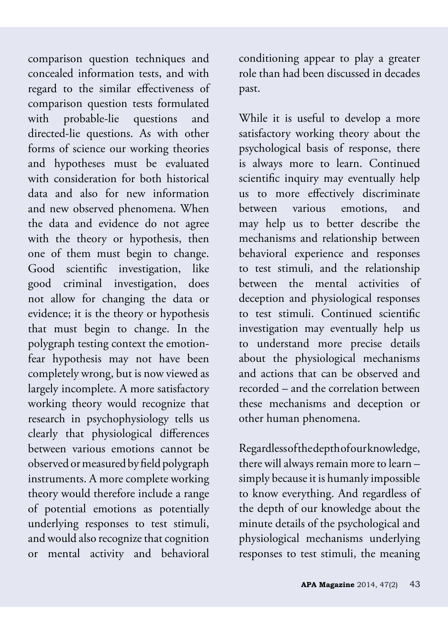comparison question techniques and concealed information tests, and with regard to the similar effectiveness of comparison question tests formulated with probable-lie questions and directed-lie questions. As with other forms of science our working theories and hypotheses must be evaluated with consideration for both historical data and also for new information and new observed phenomena. When the data and evidence do not agree with the theory or hypothesis, then one of them must begin to change. Good scientifc investigation, like good criminal investigation, does not allow for changing the data or evidence; it is the theory or hypothesis that must begin to change. In the polygraph testing context the emotionfear hypothesis may not have been completely wrong, but is now viewed as largely incomplete. A more satisfactory working theory would recognize that research in psychophysiology tells us clearly that physiological diferences between various emotions cannot be observed or measured by feld polygraph instruments. A more complete working theory would therefore include a range of potential emotions as potentially underlying responses to test stimuli, and would also recognize that cognition or mental activity and behavioral

conditioning appear to play a greater role than had been discussed in decades past.

While it is useful to develop a more satisfactory working theory about the psychological basis of response, there is always more to learn. Continued scientifc inquiry may eventually help us to more efectively discriminate between various emotions, and may help us to better describe the mechanisms and relationship between behavioral experience and responses to test stimuli, and the relationship between the mental activities of deception and physiological responses to test stimuli. Continued scientifc investigation may eventually help us to understand more precise details about the physiological mechanisms and actions that can be observed and recorded – and the correlation between these mechanisms and deception or other human phenomena.

Regardless of the depth of our knowledge, there will always remain more to learn – simply because it is humanly impossible to know everything. And regardless of the depth of our knowledge about the minute details of the psychological and physiological mechanisms underlying responses to test stimuli, the meaning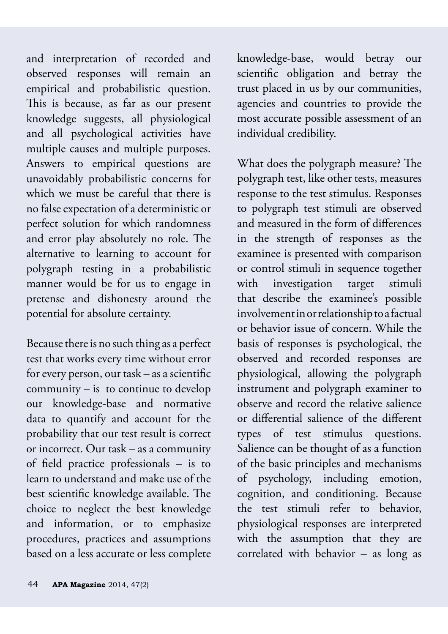and interpretation of recorded and observed responses will remain an empirical and probabilistic question. This is because, as far as our present knowledge suggests, all physiological and all psychological activities have multiple causes and multiple purposes. Answers to empirical questions are unavoidably probabilistic concerns for which we must be careful that there is no false expectation of a deterministic or perfect solution for which randomness and error play absolutely no role. The alternative to learning to account for polygraph testing in a probabilistic manner would be for us to engage in pretense and dishonesty around the potential for absolute certainty.

Because there is no such thing as a perfect test that works every time without error for every person, our task – as a scientifc community – is to continue to develop our knowledge-base and normative data to quantify and account for the probability that our test result is correct or incorrect. Our task – as a community of feld practice professionals – is to learn to understand and make use of the best scientific knowledge available. The choice to neglect the best knowledge and information, or to emphasize procedures, practices and assumptions based on a less accurate or less complete

knowledge-base, would betray our scientifc obligation and betray the trust placed in us by our communities, agencies and countries to provide the most accurate possible assessment of an individual credibility.

What does the polygraph measure? The polygraph test, like other tests, measures response to the test stimulus. Responses to polygraph test stimuli are observed and measured in the form of diferences in the strength of responses as the examinee is presented with comparison or control stimuli in sequence together with investigation target stimuli that describe the examinee's possible involvement in or relationship to a factual or behavior issue of concern. While the basis of responses is psychological, the observed and recorded responses are physiological, allowing the polygraph instrument and polygraph examiner to observe and record the relative salience or diferential salience of the diferent types of test stimulus questions. Salience can be thought of as a function of the basic principles and mechanisms of psychology, including emotion, cognition, and conditioning. Because the test stimuli refer to behavior, physiological responses are interpreted with the assumption that they are correlated with behavior – as long as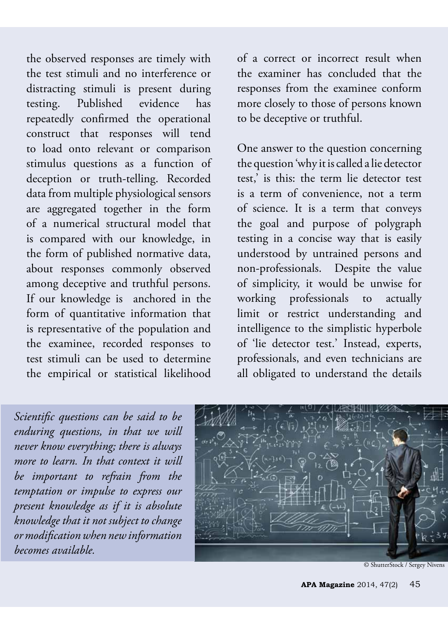the observed responses are timely with the test stimuli and no interference or distracting stimuli is present during testing. Published evidence has repeatedly confrmed the operational construct that responses will tend to load onto relevant or comparison stimulus questions as a function of deception or truth-telling. Recorded data from multiple physiological sensors are aggregated together in the form of a numerical structural model that is compared with our knowledge, in the form of published normative data, about responses commonly observed among deceptive and truthful persons. If our knowledge is anchored in the form of quantitative information that is representative of the population and the examinee, recorded responses to test stimuli can be used to determine the empirical or statistical likelihood

of a correct or incorrect result when the examiner has concluded that the responses from the examinee conform more closely to those of persons known to be deceptive or truthful.

One answer to the question concerning the question 'why it is called a lie detector test,' is this: the term lie detector test is a term of convenience, not a term of science. It is a term that conveys the goal and purpose of polygraph testing in a concise way that is easily understood by untrained persons and non-professionals. Despite the value of simplicity, it would be unwise for working professionals to actually limit or restrict understanding and intelligence to the simplistic hyperbole of 'lie detector test.' Instead, experts, professionals, and even technicians are all obligated to understand the details

*Scientifc questions can be said to be enduring questions, in that we will never know everything; there is always more to learn. In that context it will be important to refrain from the temptation or impulse to express our present knowledge as if it is absolute knowledge that it not subject to change or modifcation when new information becomes available.* 



<sup>©</sup> ShutterStock / Sergey Nivens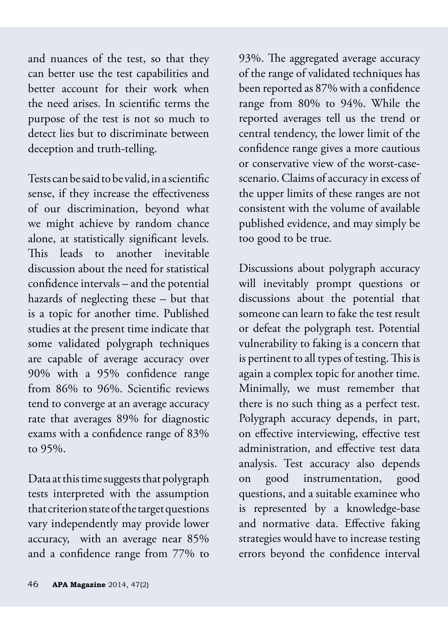and nuances of the test, so that they can better use the test capabilities and better account for their work when the need arises. In scientifc terms the purpose of the test is not so much to detect lies but to discriminate between deception and truth-telling.

Tests can be said to be valid, in a scientifc sense, if they increase the efectiveness of our discrimination, beyond what we might achieve by random chance alone, at statistically signifcant levels. This leads to another inevitable discussion about the need for statistical confdence intervals – and the potential hazards of neglecting these – but that is a topic for another time. Published studies at the present time indicate that some validated polygraph techniques are capable of average accuracy over 90% with a 95% confdence range from 86% to 96%. Scientifc reviews tend to converge at an average accuracy rate that averages 89% for diagnostic exams with a confdence range of 83% to 95%.

Data at this time suggests that polygraph tests interpreted with the assumption that criterion state of the target questions vary independently may provide lower accuracy, with an average near 85% and a confdence range from 77% to

93%. The aggregated average accuracy of the range of validated techniques has been reported as 87% with a confdence range from 80% to 94%. While the reported averages tell us the trend or central tendency, the lower limit of the confdence range gives a more cautious or conservative view of the worst-casescenario. Claims of accuracy in excess of the upper limits of these ranges are not consistent with the volume of available published evidence, and may simply be too good to be true.

Discussions about polygraph accuracy will inevitably prompt questions or discussions about the potential that someone can learn to fake the test result or defeat the polygraph test. Potential vulnerability to faking is a concern that is pertinent to all types of testing. This is again a complex topic for another time. Minimally, we must remember that there is no such thing as a perfect test. Polygraph accuracy depends, in part, on efective interviewing, efective test administration, and efective test data analysis. Test accuracy also depends on good instrumentation, good questions, and a suitable examinee who is represented by a knowledge-base and normative data. Efective faking strategies would have to increase testing errors beyond the confdence interval